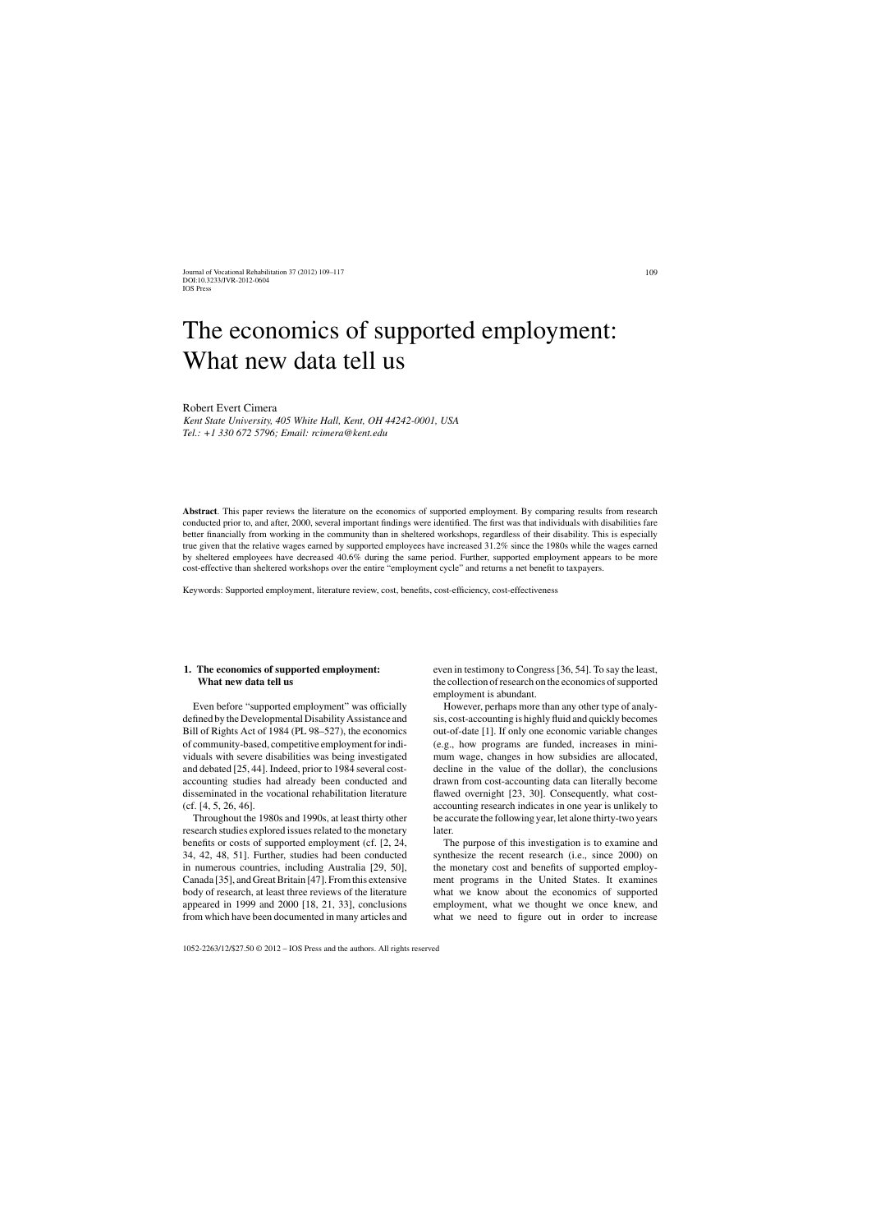Journal of Vocational Rehabilitation 37 (2012) 109–117 DOI:10.3233/JVR-2012-0604 IOS Press

# The economics of supported employment: What new data tell us

Robert Evert Cimera

*Kent State University, 405 White Hall, Kent, OH 44242-0001, USA Tel.: +1 330 672 5796; Email: [rcimera@kent.edu](mailto:rcimera@kent.edu)*

**Abstract**. This paper reviews the literature on the economics of supported employment. By comparing results from research conducted prior to, and after, 2000, several important findings were identified. The first was that individuals with disabilities fare better financially from working in the community than in sheltered workshops, regardless of their disability. This is especially true given that the relative wages earned by supported employees have increased 31.2% since the 1980s while the wages earned by sheltered employees have decreased 40.6% during the same period. Further, supported employment appears to be more cost-effective than sheltered workshops over the entire "employment cycle" and returns a net benefit to taxpayers.

Keywords: Supported employment, literature review, cost, benefits, cost-efficiency, cost-effectiveness

## **1. The economics of supported employment: What new data tell us**

Even before "supported employment" was officially defined by the Developmental Disability Assistance and Bill of Rights Act of 1984 (PL 98–527), the economics of community-based, competitive employment for individuals with severe disabilities was being investigated and debated [25, 44]. Indeed, prior to 1984 several costaccounting studies had already been conducted and disseminated in the vocational rehabilitation literature (cf. [4, 5, 26, 46].

Throughout the 1980s and 1990s, at least thirty other research studies explored issues related to the monetary benefits or costs of supported employment (cf. [2, 24, 34, 42, 48, 51]. Further, studies had been conducted in numerous countries, including Australia [29, 50], Canada [35], and Great Britain [47]. From this extensive body of research, at least three reviews of the literature appeared in 1999 and 2000 [18, 21, 33], conclusions from which have been documented in many articles and even in testimony to Congress [36, 54]. To say the least, the collection of research on the economics of supported employment is abundant.

However, perhaps more than any other type of analysis, cost-accounting is highly fluid and quickly becomes out-of-date [1]. If only one economic variable changes (e.g., how programs are funded, increases in minimum wage, changes in how subsidies are allocated, decline in the value of the dollar), the conclusions drawn from cost-accounting data can literally become flawed overnight [23, 30]. Consequently, what costaccounting research indicates in one year is unlikely to be accurate the following year, let alone thirty-two years later.

The purpose of this investigation is to examine and synthesize the recent research (i.e., since 2000) on the monetary cost and benefits of supported employment programs in the United States. It examines what we know about the economics of supported employment, what we thought we once knew, and what we need to figure out in order to increase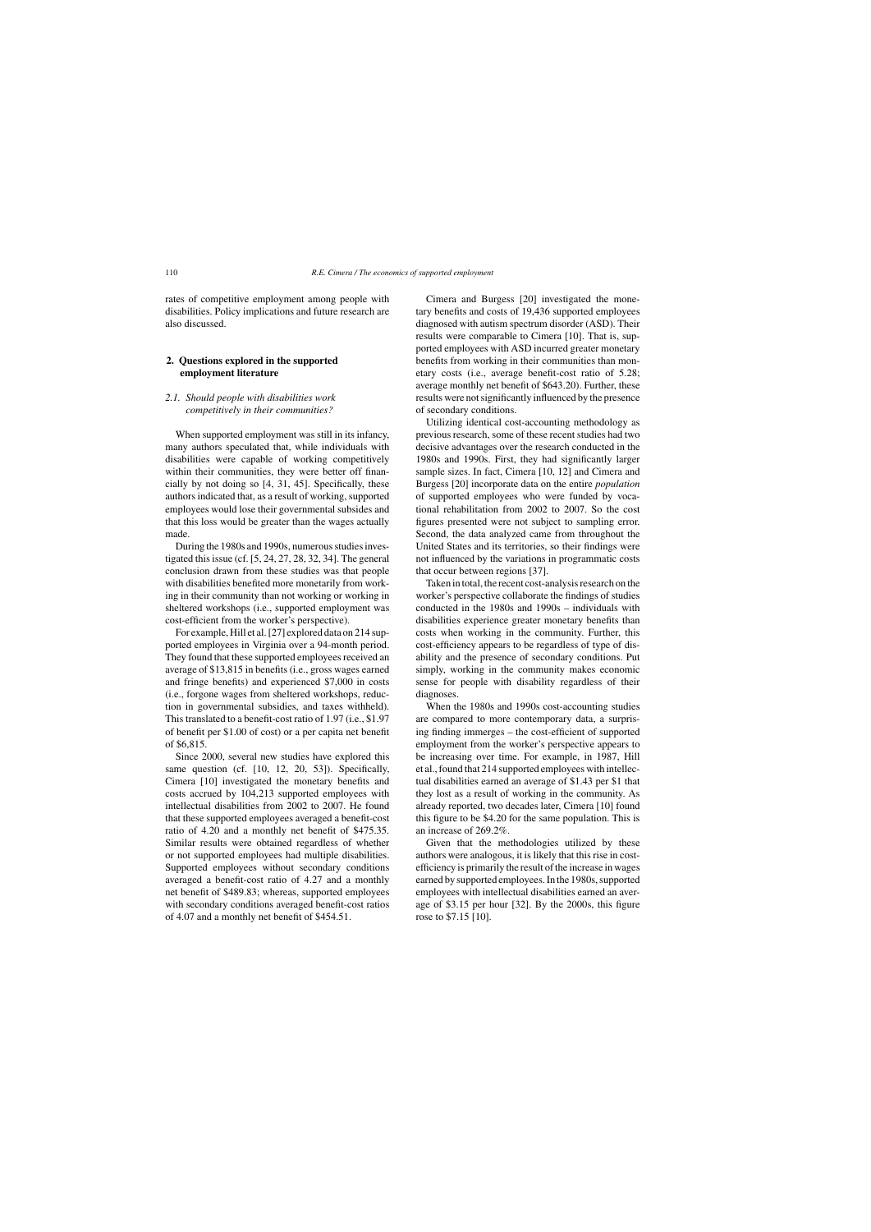rates of competitive employment among people with disabilities. Policy implications and future research are also discussed.

## **2. Questions explored in the supported employment literature**

## *2.1. Should people with disabilities work competitively in their communities?*

When supported employment was still in its infancy, many authors speculated that, while individuals with disabilities were capable of working competitively within their communities, they were better off financially by not doing so [4, 31, 45]. Specifically, these authors indicated that, as a result of working, supported employees would lose their governmental subsides and that this loss would be greater than the wages actually made.

During the 1980s and 1990s, numerous studies investigated this issue (cf. [5, 24, 27, 28, 32, 34]. The general conclusion drawn from these studies was that people with disabilities benefited more monetarily from working in their community than not working or working in sheltered workshops (i.e., supported employment was cost-efficient from the worker's perspective).

For example, Hill et al. [27] explored data on 214 supported employees in Virginia over a 94-month period. They found that these supported employees received an average of \$13,815 in benefits (i.e., gross wages earned and fringe benefits) and experienced \$7,000 in costs (i.e., forgone wages from sheltered workshops, reduction in governmental subsidies, and taxes withheld). This translated to a benefit-cost ratio of 1.97 (i.e., \$1.97 of benefit per \$1.00 of cost) or a per capita net benefit of \$6,815.

Since 2000, several new studies have explored this same question (cf. [10, 12, 20, 53]). Specifically, Cimera [10] investigated the monetary benefits and costs accrued by 104,213 supported employees with intellectual disabilities from 2002 to 2007. He found that these supported employees averaged a benefit-cost ratio of 4.20 and a monthly net benefit of \$475.35. Similar results were obtained regardless of whether or not supported employees had multiple disabilities. Supported employees without secondary conditions averaged a benefit-cost ratio of 4.27 and a monthly net benefit of \$489.83; whereas, supported employees with secondary conditions averaged benefit-cost ratios of 4.07 and a monthly net benefit of \$454.51.

Cimera and Burgess [20] investigated the monetary benefits and costs of 19,436 supported employees diagnosed with autism spectrum disorder (ASD). Their results were comparable to Cimera [10]. That is, supported employees with ASD incurred greater monetary benefits from working in their communities than monetary costs (i.e., average benefit-cost ratio of 5.28; average monthly net benefit of \$643.20). Further, these results were not significantly influenced by the presence of secondary conditions.

Utilizing identical cost-accounting methodology as previous research, some of these recent studies had two decisive advantages over the research conducted in the 1980s and 1990s. First, they had significantly larger sample sizes. In fact, Cimera [10, 12] and Cimera and Burgess [20] incorporate data on the entire *population* of supported employees who were funded by vocational rehabilitation from 2002 to 2007. So the cost figures presented were not subject to sampling error. Second, the data analyzed came from throughout the United States and its territories, so their findings were not influenced by the variations in programmatic costs that occur between regions [37].

Taken in total, the recent cost-analysis research on the worker's perspective collaborate the findings of studies conducted in the 1980s and 1990s – individuals with disabilities experience greater monetary benefits than costs when working in the community. Further, this cost-efficiency appears to be regardless of type of disability and the presence of secondary conditions. Put simply, working in the community makes economic sense for people with disability regardless of their diagnoses.

When the 1980s and 1990s cost-accounting studies are compared to more contemporary data, a surprising finding immerges – the cost-efficient of supported employment from the worker's perspective appears to be increasing over time. For example, in 1987, Hill et al., found that 214 supported employees with intellectual disabilities earned an average of \$1.43 per \$1 that they lost as a result of working in the community. As already reported, two decades later, Cimera [10] found this figure to be \$4.20 for the same population. This is an increase of 269.2%.

Given that the methodologies utilized by these authors were analogous, it is likely that this rise in costefficiency is primarily the result of the increase in wages earned by supported employees. In the 1980s, supported employees with intellectual disabilities earned an average of \$3.15 per hour [32]. By the 2000s, this figure rose to \$7.15 [10].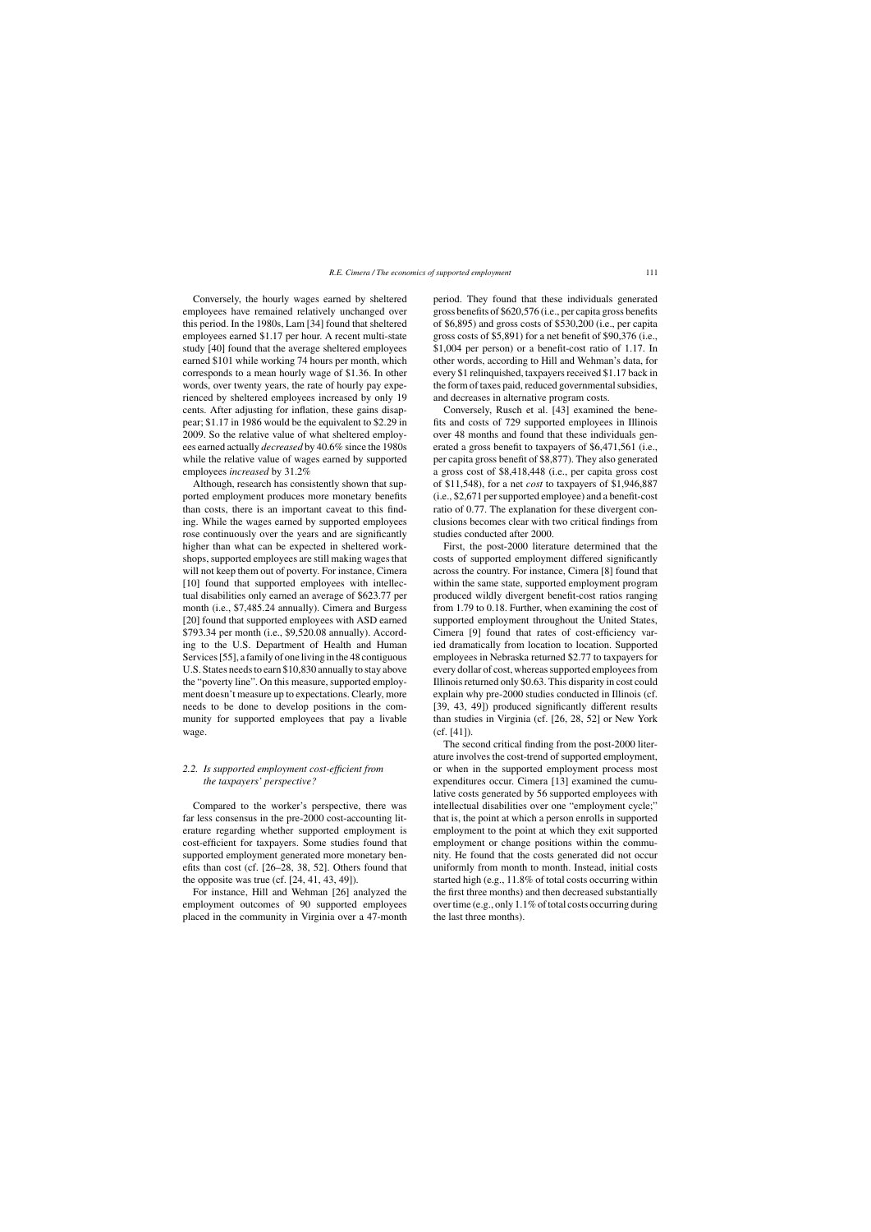Conversely, the hourly wages earned by sheltered employees have remained relatively unchanged over this period. In the 1980s, Lam [34] found that sheltered employees earned \$1.17 per hour. A recent multi-state study [40] found that the average sheltered employees earned \$101 while working 74 hours per month, which corresponds to a mean hourly wage of \$1.36. In other words, over twenty years, the rate of hourly pay experienced by sheltered employees increased by only 19 cents. After adjusting for inflation, these gains disappear; \$1.17 in 1986 would be the equivalent to \$2.29 in 2009. So the relative value of what sheltered employees earned actually *decreased* by 40.6% since the 1980s while the relative value of wages earned by supported employees *increased* by 31.2%

Although, research has consistently shown that supported employment produces more monetary benefits than costs, there is an important caveat to this finding. While the wages earned by supported employees rose continuously over the years and are significantly higher than what can be expected in sheltered workshops, supported employees are still making wages that will not keep them out of poverty. For instance, Cimera [10] found that supported employees with intellectual disabilities only earned an average of \$623.77 per month (i.e., \$7,485.24 annually). Cimera and Burgess [20] found that supported employees with ASD earned \$793.34 per month (i.e., \$9,520.08 annually). According to the U.S. Department of Health and Human Services [55], a family of one living in the 48 contiguous U.S. States needs to earn \$10,830 annually to stay above the "poverty line". On this measure, supported employment doesn't measure up to expectations. Clearly, more needs to be done to develop positions in the community for supported employees that pay a livable wage.

## *2.2. Is supported employment cost-efficient from the taxpayers' perspective?*

Compared to the worker's perspective, there was far less consensus in the pre-2000 cost-accounting literature regarding whether supported employment is cost-efficient for taxpayers. Some studies found that supported employment generated more monetary benefits than cost (cf. [26–28, 38, 52]. Others found that the opposite was true (cf. [24, 41, 43, 49]).

For instance, Hill and Wehman [26] analyzed the employment outcomes of 90 supported employees placed in the community in Virginia over a 47-month period. They found that these individuals generated gross benefits of \$620,576 (i.e., per capita gross benefits of \$6,895) and gross costs of \$530,200 (i.e., per capita gross costs of \$5,891) for a net benefit of \$90,376 (i.e., \$1,004 per person) or a benefit-cost ratio of 1.17. In other words, according to Hill and Wehman's data, for every \$1 relinquished, taxpayers received \$1.17 back in the form of taxes paid, reduced governmental subsidies, and decreases in alternative program costs.

Conversely, Rusch et al. [43] examined the benefits and costs of 729 supported employees in Illinois over 48 months and found that these individuals generated a gross benefit to taxpayers of \$6,471,561 (i.e., per capita gross benefit of \$8,877). They also generated a gross cost of \$8,418,448 (i.e., per capita gross cost of \$11,548), for a net *cost* to taxpayers of \$1,946,887 (i.e., \$2,671 per supported employee) and a benefit-cost ratio of 0.77. The explanation for these divergent conclusions becomes clear with two critical findings from studies conducted after 2000.

First, the post-2000 literature determined that the costs of supported employment differed significantly across the country. For instance, Cimera [8] found that within the same state, supported employment program produced wildly divergent benefit-cost ratios ranging from 1.79 to 0.18. Further, when examining the cost of supported employment throughout the United States, Cimera [9] found that rates of cost-efficiency varied dramatically from location to location. Supported employees in Nebraska returned \$2.77 to taxpayers for every dollar of cost, whereas supported employees from Illinois returned only \$0.63. This disparity in cost could explain why pre-2000 studies conducted in Illinois (cf. [39, 43, 49]) produced significantly different results than studies in Virginia (cf. [26, 28, 52] or New York (cf. [41]).

The second critical finding from the post-2000 literature involves the cost-trend of supported employment, or when in the supported employment process most expenditures occur. Cimera [13] examined the cumulative costs generated by 56 supported employees with intellectual disabilities over one "employment cycle;" that is, the point at which a person enrolls in supported employment to the point at which they exit supported employment or change positions within the community. He found that the costs generated did not occur uniformly from month to month. Instead, initial costs started high (e.g., 11.8% of total costs occurring within the first three months) and then decreased substantially over time (e.g., only 1.1% of total costs occurring during the last three months).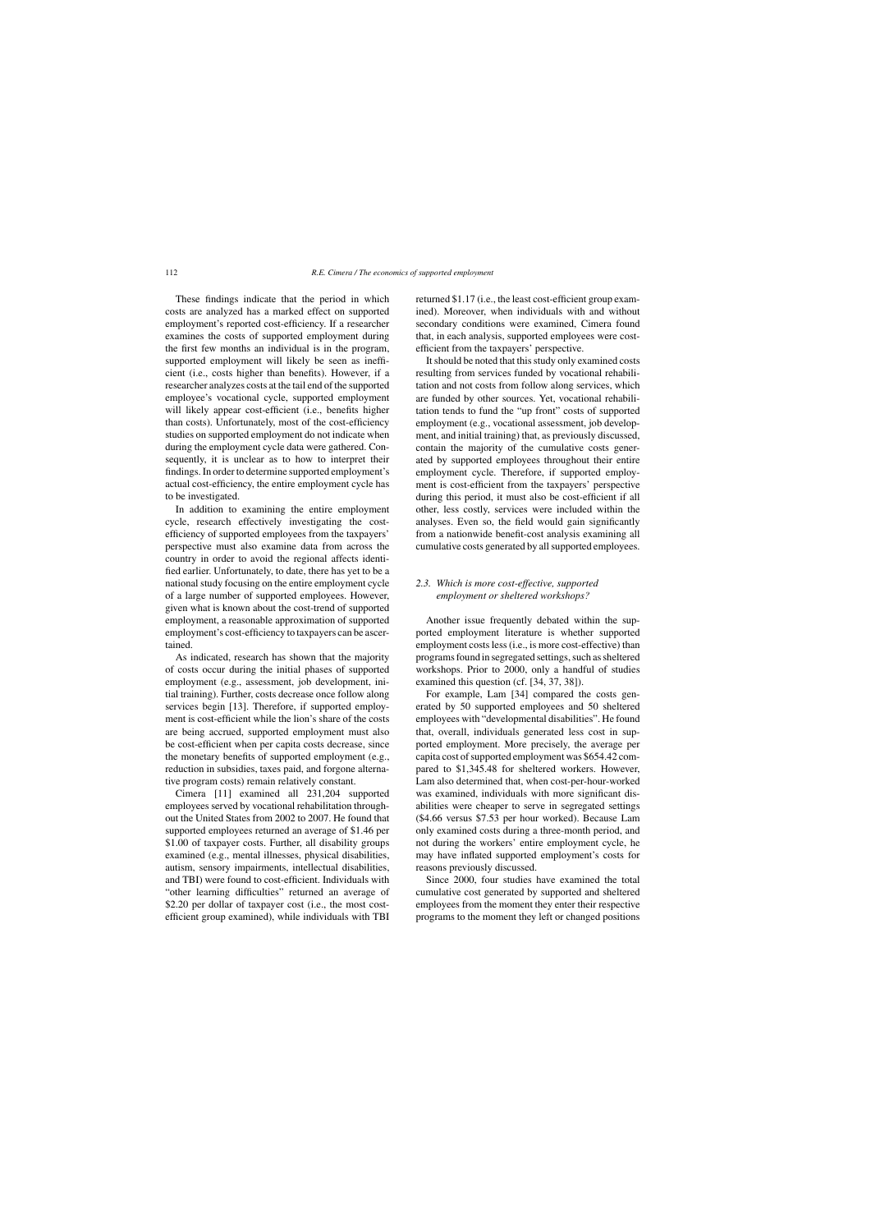These findings indicate that the period in which costs are analyzed has a marked effect on supported employment's reported cost-efficiency. If a researcher examines the costs of supported employment during the first few months an individual is in the program, supported employment will likely be seen as inefficient (i.e., costs higher than benefits). However, if a researcher analyzes costs at the tail end of the supported employee's vocational cycle, supported employment will likely appear cost-efficient (i.e., benefits higher than costs). Unfortunately, most of the cost-efficiency studies on supported employment do not indicate when during the employment cycle data were gathered. Consequently, it is unclear as to how to interpret their findings. In order to determine supported employment's actual cost-efficiency, the entire employment cycle has to be investigated.

In addition to examining the entire employment cycle, research effectively investigating the costefficiency of supported employees from the taxpayers' perspective must also examine data from across the country in order to avoid the regional affects identified earlier. Unfortunately, to date, there has yet to be a national study focusing on the entire employment cycle of a large number of supported employees. However, given what is known about the cost-trend of supported employment, a reasonable approximation of supported employment's cost-efficiency to taxpayers can be ascertained.

As indicated, research has shown that the majority of costs occur during the initial phases of supported employment (e.g., assessment, job development, initial training). Further, costs decrease once follow along services begin [13]. Therefore, if supported employment is cost-efficient while the lion's share of the costs are being accrued, supported employment must also be cost-efficient when per capita costs decrease, since the monetary benefits of supported employment (e.g., reduction in subsidies, taxes paid, and forgone alternative program costs) remain relatively constant.

Cimera [11] examined all 231,204 supported employees served by vocational rehabilitation throughout the United States from 2002 to 2007. He found that supported employees returned an average of \$1.46 per \$1.00 of taxpayer costs. Further, all disability groups examined (e.g., mental illnesses, physical disabilities, autism, sensory impairments, intellectual disabilities, and TBI) were found to cost-efficient. Individuals with "other learning difficulties" returned an average of \$2.20 per dollar of taxpayer cost (i.e., the most costefficient group examined), while individuals with TBI returned \$1.17 (i.e., the least cost-efficient group examined). Moreover, when individuals with and without secondary conditions were examined, Cimera found that, in each analysis, supported employees were costefficient from the taxpayers' perspective.

It should be noted that this study only examined costs resulting from services funded by vocational rehabilitation and not costs from follow along services, which are funded by other sources. Yet, vocational rehabilitation tends to fund the "up front" costs of supported employment (e.g., vocational assessment, job development, and initial training) that, as previously discussed, contain the majority of the cumulative costs generated by supported employees throughout their entire employment cycle. Therefore, if supported employment is cost-efficient from the taxpayers' perspective during this period, it must also be cost-efficient if all other, less costly, services were included within the analyses. Even so, the field would gain significantly from a nationwide benefit-cost analysis examining all cumulative costs generated by all supported employees.

## *2.3. Which is more cost-effective, supported employment or sheltered workshops?*

Another issue frequently debated within the supported employment literature is whether supported employment costs less (i.e., is more cost-effective) than programs found in segregated settings, such as sheltered workshops. Prior to 2000, only a handful of studies examined this question (cf. [34, 37, 38]).

For example, Lam [34] compared the costs generated by 50 supported employees and 50 sheltered employees with "developmental disabilities". He found that, overall, individuals generated less cost in supported employment. More precisely, the average per capita cost of supported employment was \$654.42 compared to \$1,345.48 for sheltered workers. However, Lam also determined that, when cost-per-hour-worked was examined, individuals with more significant disabilities were cheaper to serve in segregated settings (\$4.66 versus \$7.53 per hour worked). Because Lam only examined costs during a three-month period, and not during the workers' entire employment cycle, he may have inflated supported employment's costs for reasons previously discussed.

Since 2000, four studies have examined the total cumulative cost generated by supported and sheltered employees from the moment they enter their respective programs to the moment they left or changed positions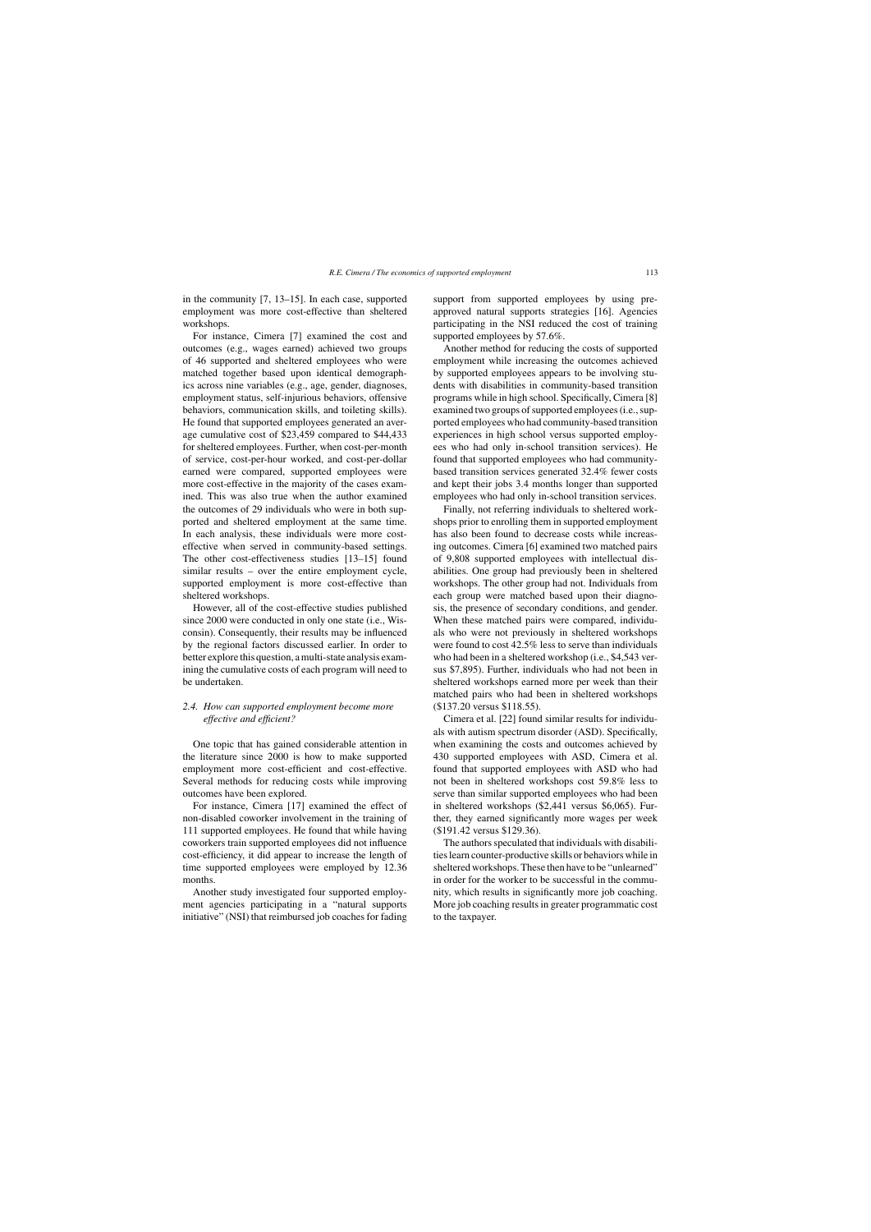in the community [7, 13–15]. In each case, supported employment was more cost-effective than sheltered workshops.

For instance, Cimera [7] examined the cost and outcomes (e.g., wages earned) achieved two groups of 46 supported and sheltered employees who were matched together based upon identical demographics across nine variables (e.g., age, gender, diagnoses, employment status, self-injurious behaviors, offensive behaviors, communication skills, and toileting skills). He found that supported employees generated an average cumulative cost of \$23,459 compared to \$44,433 for sheltered employees. Further, when cost-per-month of service, cost-per-hour worked, and cost-per-dollar earned were compared, supported employees were more cost-effective in the majority of the cases examined. This was also true when the author examined the outcomes of 29 individuals who were in both supported and sheltered employment at the same time. In each analysis, these individuals were more costeffective when served in community-based settings. The other cost-effectiveness studies [13–15] found similar results – over the entire employment cycle, supported employment is more cost-effective than sheltered workshops.

However, all of the cost-effective studies published since 2000 were conducted in only one state (i.e., Wisconsin). Consequently, their results may be influenced by the regional factors discussed earlier. In order to better explore this question, a multi-state analysis examining the cumulative costs of each program will need to be undertaken.

## *2.4. How can supported employment become more effective and efficient?*

One topic that has gained considerable attention in the literature since 2000 is how to make supported employment more cost-efficient and cost-effective. Several methods for reducing costs while improving outcomes have been explored.

For instance, Cimera [17] examined the effect of non-disabled coworker involvement in the training of 111 supported employees. He found that while having coworkers train supported employees did not influence cost-efficiency, it did appear to increase the length of time supported employees were employed by 12.36 months.

Another study investigated four supported employment agencies participating in a "natural supports initiative" (NSI) that reimbursed job coaches for fading support from supported employees by using preapproved natural supports strategies [16]. Agencies participating in the NSI reduced the cost of training supported employees by 57.6%.

Another method for reducing the costs of supported employment while increasing the outcomes achieved by supported employees appears to be involving students with disabilities in community-based transition programs while in high school. Specifically, Cimera [8] examined two groups of supported employees (i.e., supported employees who had community-based transition experiences in high school versus supported employees who had only in-school transition services). He found that supported employees who had communitybased transition services generated 32.4% fewer costs and kept their jobs 3.4 months longer than supported employees who had only in-school transition services.

Finally, not referring individuals to sheltered workshops prior to enrolling them in supported employment has also been found to decrease costs while increasing outcomes. Cimera [6] examined two matched pairs of 9,808 supported employees with intellectual disabilities. One group had previously been in sheltered workshops. The other group had not. Individuals from each group were matched based upon their diagnosis, the presence of secondary conditions, and gender. When these matched pairs were compared, individuals who were not previously in sheltered workshops were found to cost 42.5% less to serve than individuals who had been in a sheltered workshop (i.e., \$4,543 versus \$7,895). Further, individuals who had not been in sheltered workshops earned more per week than their matched pairs who had been in sheltered workshops (\$137.20 versus \$118.55).

Cimera et al. [22] found similar results for individuals with autism spectrum disorder (ASD). Specifically, when examining the costs and outcomes achieved by 430 supported employees with ASD, Cimera et al. found that supported employees with ASD who had not been in sheltered workshops cost 59.8% less to serve than similar supported employees who had been in sheltered workshops (\$2,441 versus \$6,065). Further, they earned significantly more wages per week (\$191.42 versus \$129.36).

The authors speculated that individuals with disabilities learn counter-productive skills or behaviors while in sheltered workshops. These then have to be "unlearned" in order for the worker to be successful in the community, which results in significantly more job coaching. More job coaching results in greater programmatic cost to the taxpayer.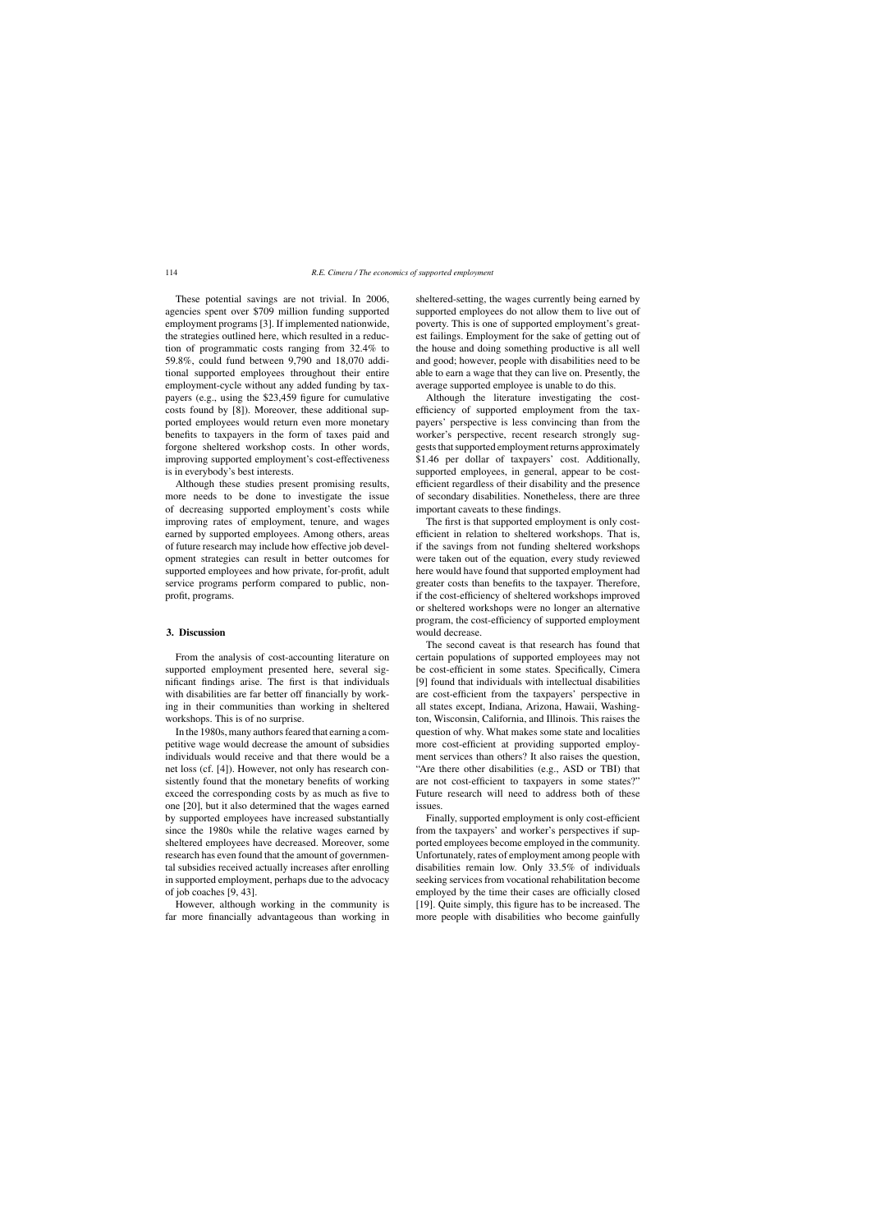These potential savings are not trivial. In 2006, agencies spent over \$709 million funding supported employment programs [3]. If implemented nationwide, the strategies outlined here, which resulted in a reduction of programmatic costs ranging from 32.4% to 59.8%, could fund between 9,790 and 18,070 additional supported employees throughout their entire employment-cycle without any added funding by taxpayers (e.g., using the \$23,459 figure for cumulative costs found by [8]). Moreover, these additional supported employees would return even more monetary benefits to taxpayers in the form of taxes paid and forgone sheltered workshop costs. In other words, improving supported employment's cost-effectiveness is in everybody's best interests.

Although these studies present promising results, more needs to be done to investigate the issue of decreasing supported employment's costs while improving rates of employment, tenure, and wages earned by supported employees. Among others, areas of future research may include how effective job development strategies can result in better outcomes for supported employees and how private, for-profit, adult service programs perform compared to public, nonprofit, programs.

## **3. Discussion**

From the analysis of cost-accounting literature on supported employment presented here, several significant findings arise. The first is that individuals with disabilities are far better off financially by working in their communities than working in sheltered workshops. This is of no surprise.

In the 1980s, many authors feared that earning a competitive wage would decrease the amount of subsidies individuals would receive and that there would be a net loss (cf. [4]). However, not only has research consistently found that the monetary benefits of working exceed the corresponding costs by as much as five to one [20], but it also determined that the wages earned by supported employees have increased substantially since the 1980s while the relative wages earned by sheltered employees have decreased. Moreover, some research has even found that the amount of governmental subsidies received actually increases after enrolling in supported employment, perhaps due to the advocacy of job coaches [9, 43].

However, although working in the community is far more financially advantageous than working in sheltered-setting, the wages currently being earned by supported employees do not allow them to live out of poverty. This is one of supported employment's greatest failings. Employment for the sake of getting out of the house and doing something productive is all well and good; however, people with disabilities need to be able to earn a wage that they can live on. Presently, the average supported employee is unable to do this.

Although the literature investigating the costefficiency of supported employment from the taxpayers' perspective is less convincing than from the worker's perspective, recent research strongly suggests that supported employment returns approximately \$1.46 per dollar of taxpayers' cost. Additionally, supported employees, in general, appear to be costefficient regardless of their disability and the presence of secondary disabilities. Nonetheless, there are three important caveats to these findings.

The first is that supported employment is only costefficient in relation to sheltered workshops. That is, if the savings from not funding sheltered workshops were taken out of the equation, every study reviewed here would have found that supported employment had greater costs than benefits to the taxpayer. Therefore, if the cost-efficiency of sheltered workshops improved or sheltered workshops were no longer an alternative program, the cost-efficiency of supported employment would decrease.

The second caveat is that research has found that certain populations of supported employees may not be cost-efficient in some states. Specifically, Cimera [9] found that individuals with intellectual disabilities are cost-efficient from the taxpayers' perspective in all states except, Indiana, Arizona, Hawaii, Washington, Wisconsin, California, and Illinois. This raises the question of why. What makes some state and localities more cost-efficient at providing supported employment services than others? It also raises the question, "Are there other disabilities (e.g., ASD or TBI) that are not cost-efficient to taxpayers in some states?" Future research will need to address both of these issues.

Finally, supported employment is only cost-efficient from the taxpayers' and worker's perspectives if supported employees become employed in the community. Unfortunately, rates of employment among people with disabilities remain low. Only 33.5% of individuals seeking services from vocational rehabilitation become employed by the time their cases are officially closed [19]. Quite simply, this figure has to be increased. The more people with disabilities who become gainfully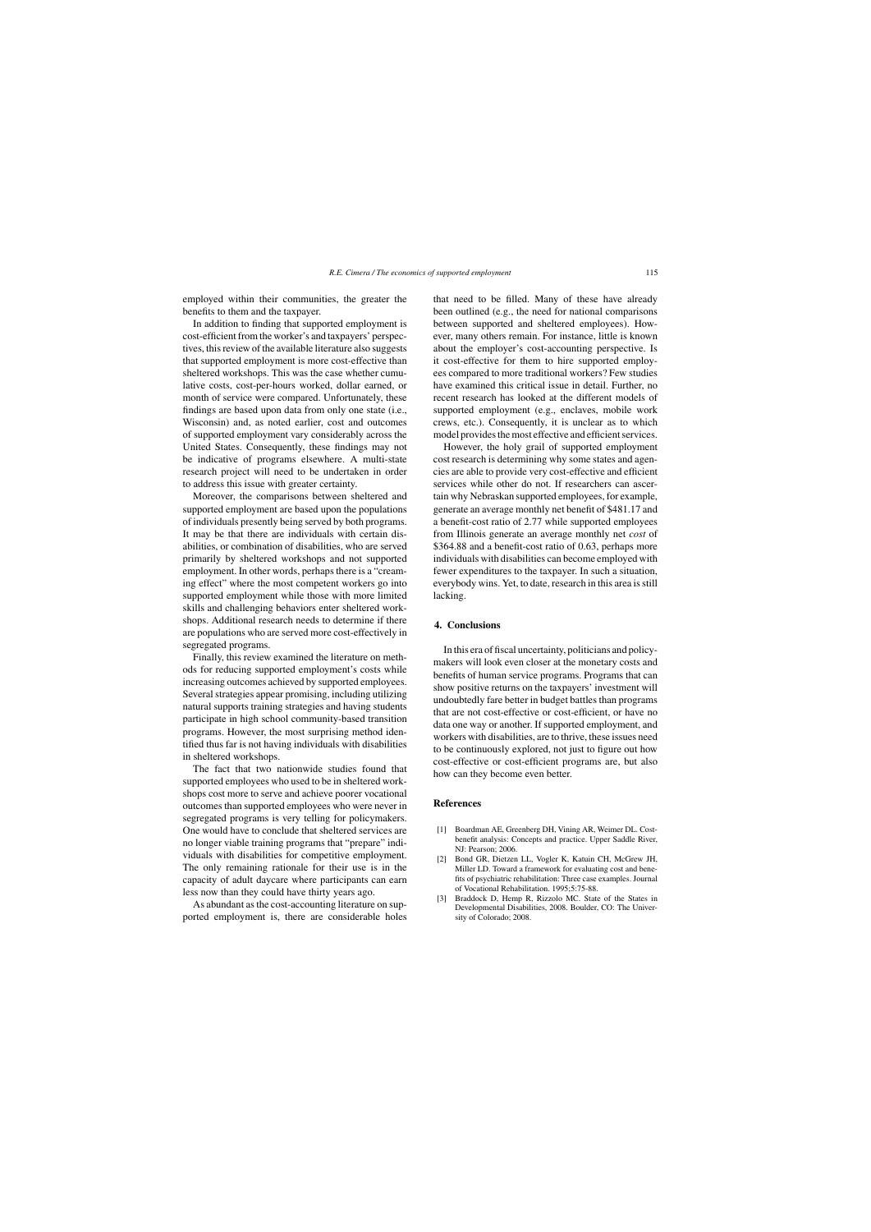employed within their communities, the greater the benefits to them and the taxpayer.

In addition to finding that supported employment is cost-efficient from the worker's and taxpayers' perspectives, this review of the available literature also suggests that supported employment is more cost-effective than sheltered workshops. This was the case whether cumulative costs, cost-per-hours worked, dollar earned, or month of service were compared. Unfortunately, these findings are based upon data from only one state (i.e., Wisconsin) and, as noted earlier, cost and outcomes of supported employment vary considerably across the United States. Consequently, these findings may not be indicative of programs elsewhere. A multi-state research project will need to be undertaken in order to address this issue with greater certainty.

Moreover, the comparisons between sheltered and supported employment are based upon the populations of individuals presently being served by both programs. It may be that there are individuals with certain disabilities, or combination of disabilities, who are served primarily by sheltered workshops and not supported employment. In other words, perhaps there is a "creaming effect" where the most competent workers go into supported employment while those with more limited skills and challenging behaviors enter sheltered workshops. Additional research needs to determine if there are populations who are served more cost-effectively in segregated programs.

Finally, this review examined the literature on methods for reducing supported employment's costs while increasing outcomes achieved by supported employees. Several strategies appear promising, including utilizing natural supports training strategies and having students participate in high school community-based transition programs. However, the most surprising method identified thus far is not having individuals with disabilities in sheltered workshops.

The fact that two nationwide studies found that supported employees who used to be in sheltered workshops cost more to serve and achieve poorer vocational outcomes than supported employees who were never in segregated programs is very telling for policymakers. One would have to conclude that sheltered services are no longer viable training programs that "prepare" individuals with disabilities for competitive employment. The only remaining rationale for their use is in the capacity of adult daycare where participants can earn less now than they could have thirty years ago.

As abundant as the cost-accounting literature on supported employment is, there are considerable holes that need to be filled. Many of these have already been outlined (e.g., the need for national comparisons between supported and sheltered employees). However, many others remain. For instance, little is known about the employer's cost-accounting perspective. Is it cost-effective for them to hire supported employees compared to more traditional workers? Few studies have examined this critical issue in detail. Further, no recent research has looked at the different models of supported employment (e.g., enclaves, mobile work crews, etc.). Consequently, it is unclear as to which model provides the most effective and efficient services.

However, the holy grail of supported employment cost research is determining why some states and agencies are able to provide very cost-effective and efficient services while other do not. If researchers can ascertain why Nebraskan supported employees, for example, generate an average monthly net benefit of \$481.17 and a benefit-cost ratio of 2.77 while supported employees from Illinois generate an average monthly net *cost* of \$364.88 and a benefit-cost ratio of 0.63, perhaps more individuals with disabilities can become employed with fewer expenditures to the taxpayer. In such a situation, everybody wins. Yet, to date, research in this area is still lacking.

#### **4. Conclusions**

In this era of fiscal uncertainty, politicians and policymakers will look even closer at the monetary costs and benefits of human service programs. Programs that can show positive returns on the taxpayers' investment will undoubtedly fare better in budget battles than programs that are not cost-effective or cost-efficient, or have no data one way or another. If supported employment, and workers with disabilities, are to thrive, these issues need to be continuously explored, not just to figure out how cost-effective or cost-efficient programs are, but also how can they become even better.

### **References**

- [1] Boardman AE, Greenberg DH, Vining AR, Weimer DL. Costbenefit analysis: Concepts and practice. Upper Saddle River, NJ: Pearson; 2006.
- [2] Bond GR, Dietzen LL, Vogler K, Katuin CH, McGrew JH, Miller LD. Toward a framework for evaluating cost and benefits of psychiatric rehabilitation: Three case examples. Journal of Vocational Rehabilitation. 1995;5:75-88.
- [3] Braddock D, Hemp R, Rizzolo MC. State of the States in Developmental Disabilities, 2008. Boulder, CO: The University of Colorado; 2008.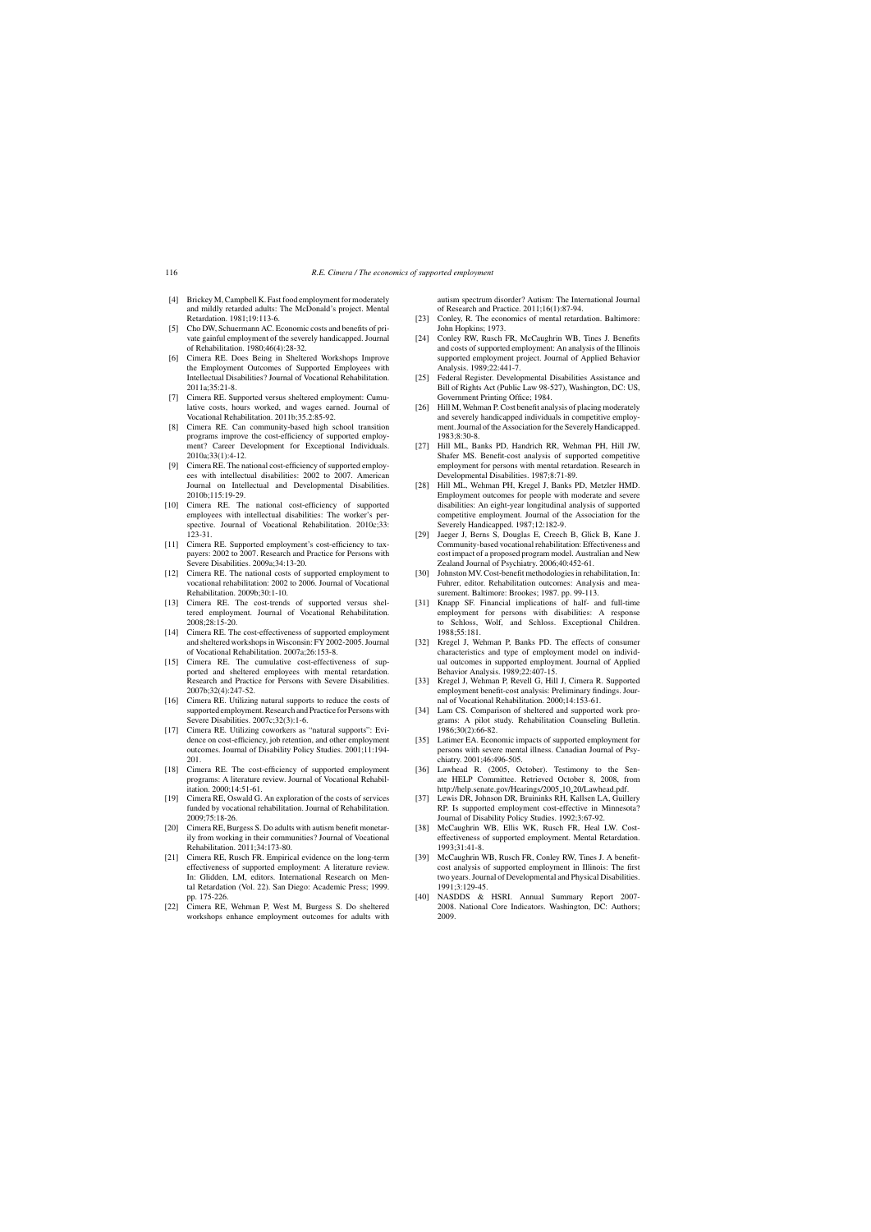- [4] Brickey M, Campbell K. Fast food employment for moderately and mildly retarded adults: The McDonald's project. Mental Retardation. 1981;19:113-6.
- [5] Cho DW, Schuermann AC. Economic costs and benefits of private gainful employment of the severely handicapped. Journal of Rehabilitation. 1980;46(4):28-32.
- [6] Cimera RE. Does Being in Sheltered Workshops Improve the Employment Outcomes of Supported Employees with Intellectual Disabilities? Journal of Vocational Rehabilitation. 2011a;35:21-8.
- [7] Cimera RE. Supported versus sheltered employment: Cumulative costs, hours worked, and wages earned. Journal of Vocational Rehabilitation. 2011b;35.2:85-92.
- [8] Cimera RE. Can community-based high school transition programs improve the cost-efficiency of supported employment? Career Development for Exceptional Individuals. 2010a;33(1):4-12.
- [9] Cimera RE. The national cost-efficiency of supported employees with intellectual disabilities: 2002 to 2007. American Journal on Intellectual and Developmental Disabilities. 2010b;115:19-29.
- [10] Cimera RE. The national cost-efficiency of supported employees with intellectual disabilities: The worker's perspective. Journal of Vocational Rehabilitation. 2010c;33: 123-31.
- [11] Cimera RE. Supported employment's cost-efficiency to taxpayers: 2002 to 2007. Research and Practice for Persons with Severe Disabilities. 2009a;34:13-20.
- [12] Cimera RE. The national costs of supported employment to vocational rehabilitation: 2002 to 2006. Journal of Vocational Rehabilitation. 2009b;30:1-10.
- [13] Cimera RE. The cost-trends of supported versus sheltered employment. Journal of Vocational Rehabilitation. 2008;28:15-20.
- [14] Cimera RE. The cost-effectiveness of supported employment and sheltered workshops in Wisconsin: FY 2002-2005. Journal of Vocational Rehabilitation. 2007a;26:153-8.
- [15] Cimera RE. The cumulative cost-effectiveness of supported and sheltered employees with mental retardation. Research and Practice for Persons with Severe Disabilities. 2007b;32(4):247-52.
- [16] Cimera RE. Utilizing natural supports to reduce the costs of supported employment. Research and Practice for Persons with Severe Disabilities. 2007c;32(3):1-6.
- [17] Cimera RE. Utilizing coworkers as "natural supports": Evidence on cost-efficiency, job retention, and other employment outcomes. Journal of Disability Policy Studies. 2001;11:194- 201.
- [18] Cimera RE. The cost-efficiency of supported employment programs: A literature review. Journal of Vocational Rehabilitation. 2000;14:51-61.
- [19] Cimera RE, Oswald G. An exploration of the costs of services funded by vocational rehabilitation. Journal of Rehabilitation. 2009;75:18-26.
- [20] Cimera RE, Burgess S. Do adults with autism benefit monetarily from working in their communities? Journal of Vocational Rehabilitation. 2011;34:173-80.
- [21] Cimera RE, Rusch FR. Empirical evidence on the long-term effectiveness of supported employment: A literature review. In: Glidden, LM, editors. International Research on Mental Retardation (Vol. 22). San Diego: Academic Press; 1999. pp. 175-226.
- [22] Cimera RE, Wehman P, West M, Burgess S. Do sheltered workshops enhance employment outcomes for adults with

autism spectrum disorder? Autism: The International Journal of Research and Practice. 2011;16(1):87-94.

- [23] Conley, R. The economics of mental retardation. Baltimore: John Hopkins; 1973.
- [24] Conley RW, Rusch FR, McCaughrin WB, Tines J. Benefits and costs of supported employment: An analysis of the Illinois supported employment project. Journal of Applied Behavior Analysis. 1989;22:441-7.
- [25] Federal Register. Developmental Disabilities Assistance and Bill of Rights Act (Public Law 98-527), Washington, DC: US, Government Printing Office; 1984.
- [26] Hill M, Wehman P. Cost benefit analysis of placing moderately and severely handicapped individuals in competitive employment. Journal of the Association for the Severely Handicapped. 1983;8:30-8.
- [27] Hill ML, Banks PD, Handrich RR, Wehman PH, Hill JW, Shafer MS. Benefit-cost analysis of supported competitive employment for persons with mental retardation. Research in Developmental Disabilities. 1987;8:71-89.
- [28] Hill ML, Wehman PH, Kregel J, Banks PD, Metzler HMD. Employment outcomes for people with moderate and severe disabilities: An eight-year longitudinal analysis of supported competitive employment. Journal of the Association for the Severely Handicapped. 1987;12:182-9.
- [29] Jaeger J, Berns S, Douglas E, Creech B, Glick B, Kane J. Community-based vocational rehabilitation: Effectiveness and cost impact of a proposed program model. Australian and New Zealand Journal of Psychiatry. 2006;40:452-61.
- [30] Johnston MV. Cost-benefit methodologies in rehabilitation, In: Fuhrer, editor. Rehabilitation outcomes: Analysis and measurement. Baltimore: Brookes; 1987. pp. 99-113.
- [31] Knapp SF. Financial implications of half- and full-time employment for persons with disabilities: A response to Schloss, Wolf, and Schloss. Exceptional Children. 1988;55:181.
- [32] Kregel J, Wehman P, Banks PD. The effects of consumer characteristics and type of employment model on individual outcomes in supported employment. Journal of Applied Behavior Analysis. 1989;22:407-15.
- [33] Kregel J, Wehman P, Revell G, Hill J, Cimera R. Supported employment benefit-cost analysis: Preliminary findings. Journal of Vocational Rehabilitation. 2000;14:153-61.
- [34] Lam CS. Comparison of sheltered and supported work programs: A pilot study. Rehabilitation Counseling Bulletin. 1986;30(2):66-82.
- [35] Latimer EA. Economic impacts of supported employment for persons with severe mental illness. Canadian Journal of Psychiatry. 2001;46:496-505.
- [36] Lawhead R. (2005, October). Testimony to the Senate HELP Committee. Retrieved October 8, 2008, from http://help.senate.gov/Hearings/2005 10 20/Lawhead.pdf.
- [37] Lewis DR, Johnson DR, Bruininks RH, Kallsen LA, Guillery RP. Is supported employment cost-effective in Minnesota? Journal of Disability Policy Studies. 1992;3:67-92.
- [38] McCaughrin WB, Ellis WK, Rusch FR, Heal LW. Costeffectiveness of supported employment. Mental Retardation. 1993;31:41-8.
- [39] McCaughrin WB, Rusch FR, Conley RW, Tines J. A benefitcost analysis of supported employment in Illinois: The first two years. Journal of Developmental and Physical Disabilities. 1991;3:129-45.
- [40] NASDDS & HSRI. Annual Summary Report 2007- 2008. National Core Indicators. Washington, DC: Authors; 2009.